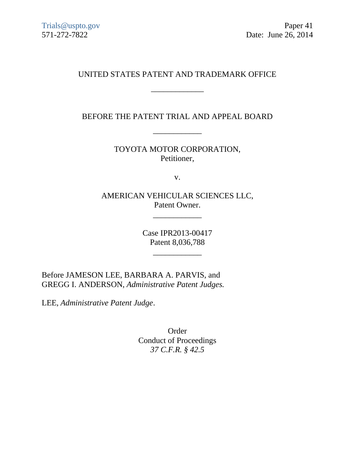# UNITED STATES PATENT AND TRADEMARK OFFICE

\_\_\_\_\_\_\_\_\_\_\_\_\_

BEFORE THE PATENT TRIAL AND APPEAL BOARD

\_\_\_\_\_\_\_\_\_\_\_\_

TOYOTA MOTOR CORPORATION, Petitioner,

v.

AMERICAN VEHICULAR SCIENCES LLC, Patent Owner.

\_\_\_\_\_\_\_\_\_\_\_\_

Case IPR2013-00417 Patent 8,036,788

\_\_\_\_\_\_\_\_\_\_\_\_

Before JAMESON LEE, BARBARA A. PARVIS, and GREGG I. ANDERSON, *Administrative Patent Judges.*

LEE, *Administrative Patent Judge*.

Order Conduct of Proceedings *37 C.F.R. § 42.5*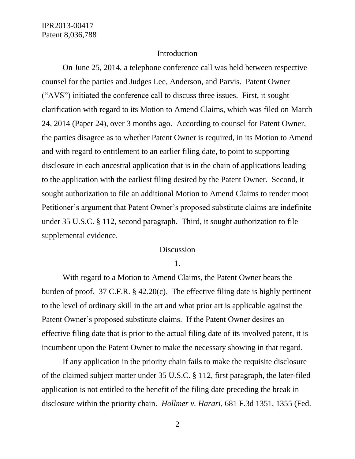### Introduction

On June 25, 2014, a telephone conference call was held between respective counsel for the parties and Judges Lee, Anderson, and Parvis. Patent Owner ("AVS") initiated the conference call to discuss three issues. First, it sought clarification with regard to its Motion to Amend Claims, which was filed on March 24, 2014 (Paper 24), over 3 months ago. According to counsel for Patent Owner, the parties disagree as to whether Patent Owner is required, in its Motion to Amend and with regard to entitlement to an earlier filing date, to point to supporting disclosure in each ancestral application that is in the chain of applications leading to the application with the earliest filing desired by the Patent Owner. Second, it sought authorization to file an additional Motion to Amend Claims to render moot Petitioner's argument that Patent Owner's proposed substitute claims are indefinite under 35 U.S.C. § 112, second paragraph. Third, it sought authorization to file supplemental evidence.

#### Discussion

1.

With regard to a Motion to Amend Claims, the Patent Owner bears the burden of proof. 37 C.F.R. § 42.20(c). The effective filing date is highly pertinent to the level of ordinary skill in the art and what prior art is applicable against the Patent Owner's proposed substitute claims. If the Patent Owner desires an effective filing date that is prior to the actual filing date of its involved patent, it is incumbent upon the Patent Owner to make the necessary showing in that regard.

If any application in the priority chain fails to make the requisite disclosure of the claimed subject matter under 35 U.S.C. § 112, first paragraph, the later-filed application is not entitled to the benefit of the filing date preceding the break in disclosure within the priority chain. *Hollmer v. Harari*, 681 F.3d 1351, 1355 (Fed.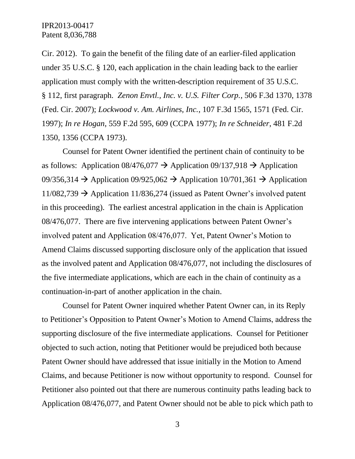Cir. 2012). To gain the benefit of the filing date of an earlier-filed application under 35 U.S.C. § 120, each application in the chain leading back to the earlier application must comply with the written-description requirement of 35 U.S.C. § 112, first paragraph. *Zenon Envtl., Inc. v. U.S. Filter Corp.*, 506 F.3d 1370, 1378 (Fed. Cir. 2007); *Lockwood v. Am. Airlines, Inc.*, 107 F.3d 1565, 1571 (Fed. Cir. 1997); *In re Hogan*, 559 F.2d 595, 609 (CCPA 1977); *In re Schneider*, 481 F.2d 1350, 1356 (CCPA 1973).

Counsel for Patent Owner identified the pertinent chain of continuity to be as follows: Application  $08/476,077 \rightarrow$  Application  $09/137,918 \rightarrow$  Application 09/356,314  $\rightarrow$  Application 09/925,062  $\rightarrow$  Application 10/701,361  $\rightarrow$  Application  $11/082,739 \rightarrow$  Application 11/836,274 (issued as Patent Owner's involved patent in this proceeding). The earliest ancestral application in the chain is Application 08/476,077. There are five intervening applications between Patent Owner's involved patent and Application 08/476,077. Yet, Patent Owner's Motion to Amend Claims discussed supporting disclosure only of the application that issued as the involved patent and Application 08/476,077, not including the disclosures of the five intermediate applications, which are each in the chain of continuity as a continuation-in-part of another application in the chain.

Counsel for Patent Owner inquired whether Patent Owner can, in its Reply to Petitioner's Opposition to Patent Owner's Motion to Amend Claims, address the supporting disclosure of the five intermediate applications. Counsel for Petitioner objected to such action, noting that Petitioner would be prejudiced both because Patent Owner should have addressed that issue initially in the Motion to Amend Claims, and because Petitioner is now without opportunity to respond. Counsel for Petitioner also pointed out that there are numerous continuity paths leading back to Application 08/476,077, and Patent Owner should not be able to pick which path to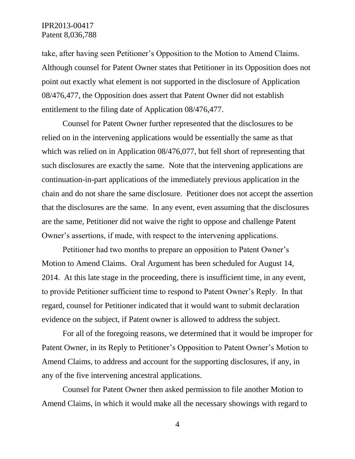take, after having seen Petitioner's Opposition to the Motion to Amend Claims. Although counsel for Patent Owner states that Petitioner in its Opposition does not point out exactly what element is not supported in the disclosure of Application 08/476,477, the Opposition does assert that Patent Owner did not establish entitlement to the filing date of Application 08/476,477.

Counsel for Patent Owner further represented that the disclosures to be relied on in the intervening applications would be essentially the same as that which was relied on in Application 08/476,077, but fell short of representing that such disclosures are exactly the same. Note that the intervening applications are continuation-in-part applications of the immediately previous application in the chain and do not share the same disclosure. Petitioner does not accept the assertion that the disclosures are the same. In any event, even assuming that the disclosures are the same, Petitioner did not waive the right to oppose and challenge Patent Owner's assertions, if made, with respect to the intervening applications.

Petitioner had two months to prepare an opposition to Patent Owner's Motion to Amend Claims. Oral Argument has been scheduled for August 14, 2014. At this late stage in the proceeding, there is insufficient time, in any event, to provide Petitioner sufficient time to respond to Patent Owner's Reply. In that regard, counsel for Petitioner indicated that it would want to submit declaration evidence on the subject, if Patent owner is allowed to address the subject.

For all of the foregoing reasons, we determined that it would be improper for Patent Owner, in its Reply to Petitioner's Opposition to Patent Owner's Motion to Amend Claims, to address and account for the supporting disclosures, if any, in any of the five intervening ancestral applications.

Counsel for Patent Owner then asked permission to file another Motion to Amend Claims, in which it would make all the necessary showings with regard to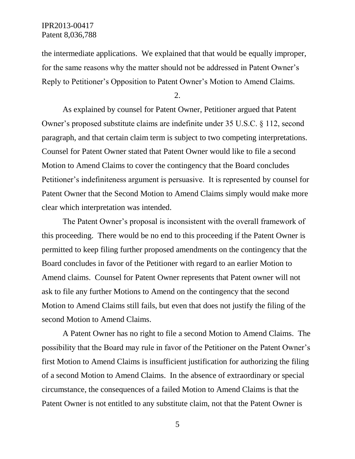the intermediate applications. We explained that that would be equally improper, for the same reasons why the matter should not be addressed in Patent Owner's Reply to Petitioner's Opposition to Patent Owner's Motion to Amend Claims.

2.

As explained by counsel for Patent Owner, Petitioner argued that Patent Owner's proposed substitute claims are indefinite under 35 U.S.C. § 112, second paragraph, and that certain claim term is subject to two competing interpretations. Counsel for Patent Owner stated that Patent Owner would like to file a second Motion to Amend Claims to cover the contingency that the Board concludes Petitioner's indefiniteness argument is persuasive. It is represented by counsel for Patent Owner that the Second Motion to Amend Claims simply would make more clear which interpretation was intended.

The Patent Owner's proposal is inconsistent with the overall framework of this proceeding. There would be no end to this proceeding if the Patent Owner is permitted to keep filing further proposed amendments on the contingency that the Board concludes in favor of the Petitioner with regard to an earlier Motion to Amend claims. Counsel for Patent Owner represents that Patent owner will not ask to file any further Motions to Amend on the contingency that the second Motion to Amend Claims still fails, but even that does not justify the filing of the second Motion to Amend Claims.

A Patent Owner has no right to file a second Motion to Amend Claims. The possibility that the Board may rule in favor of the Petitioner on the Patent Owner's first Motion to Amend Claims is insufficient justification for authorizing the filing of a second Motion to Amend Claims. In the absence of extraordinary or special circumstance, the consequences of a failed Motion to Amend Claims is that the Patent Owner is not entitled to any substitute claim, not that the Patent Owner is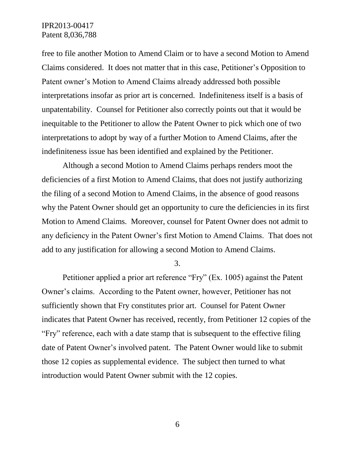free to file another Motion to Amend Claim or to have a second Motion to Amend Claims considered. It does not matter that in this case, Petitioner's Opposition to Patent owner's Motion to Amend Claims already addressed both possible interpretations insofar as prior art is concerned. Indefiniteness itself is a basis of unpatentability. Counsel for Petitioner also correctly points out that it would be inequitable to the Petitioner to allow the Patent Owner to pick which one of two interpretations to adopt by way of a further Motion to Amend Claims, after the indefiniteness issue has been identified and explained by the Petitioner.

Although a second Motion to Amend Claims perhaps renders moot the deficiencies of a first Motion to Amend Claims, that does not justify authorizing the filing of a second Motion to Amend Claims, in the absence of good reasons why the Patent Owner should get an opportunity to cure the deficiencies in its first Motion to Amend Claims. Moreover, counsel for Patent Owner does not admit to any deficiency in the Patent Owner's first Motion to Amend Claims. That does not add to any justification for allowing a second Motion to Amend Claims.

3.

Petitioner applied a prior art reference "Fry" (Ex. 1005) against the Patent Owner's claims. According to the Patent owner, however, Petitioner has not sufficiently shown that Fry constitutes prior art. Counsel for Patent Owner indicates that Patent Owner has received, recently, from Petitioner 12 copies of the "Fry" reference, each with a date stamp that is subsequent to the effective filing date of Patent Owner's involved patent. The Patent Owner would like to submit those 12 copies as supplemental evidence. The subject then turned to what introduction would Patent Owner submit with the 12 copies.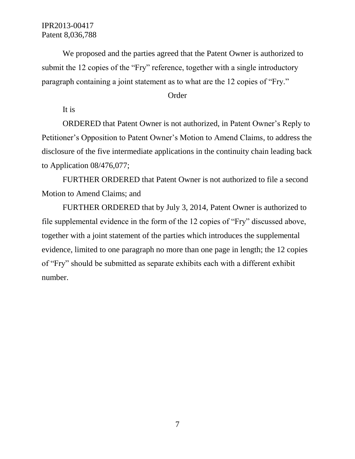We proposed and the parties agreed that the Patent Owner is authorized to submit the 12 copies of the "Fry" reference, together with a single introductory paragraph containing a joint statement as to what are the 12 copies of "Fry."

### Order

It is

ORDERED that Patent Owner is not authorized, in Patent Owner's Reply to Petitioner's Opposition to Patent Owner's Motion to Amend Claims, to address the disclosure of the five intermediate applications in the continuity chain leading back to Application 08/476,077;

FURTHER ORDERED that Patent Owner is not authorized to file a second Motion to Amend Claims; and

FURTHER ORDERED that by July 3, 2014, Patent Owner is authorized to file supplemental evidence in the form of the 12 copies of "Fry" discussed above, together with a joint statement of the parties which introduces the supplemental evidence, limited to one paragraph no more than one page in length; the 12 copies of "Fry" should be submitted as separate exhibits each with a different exhibit number.